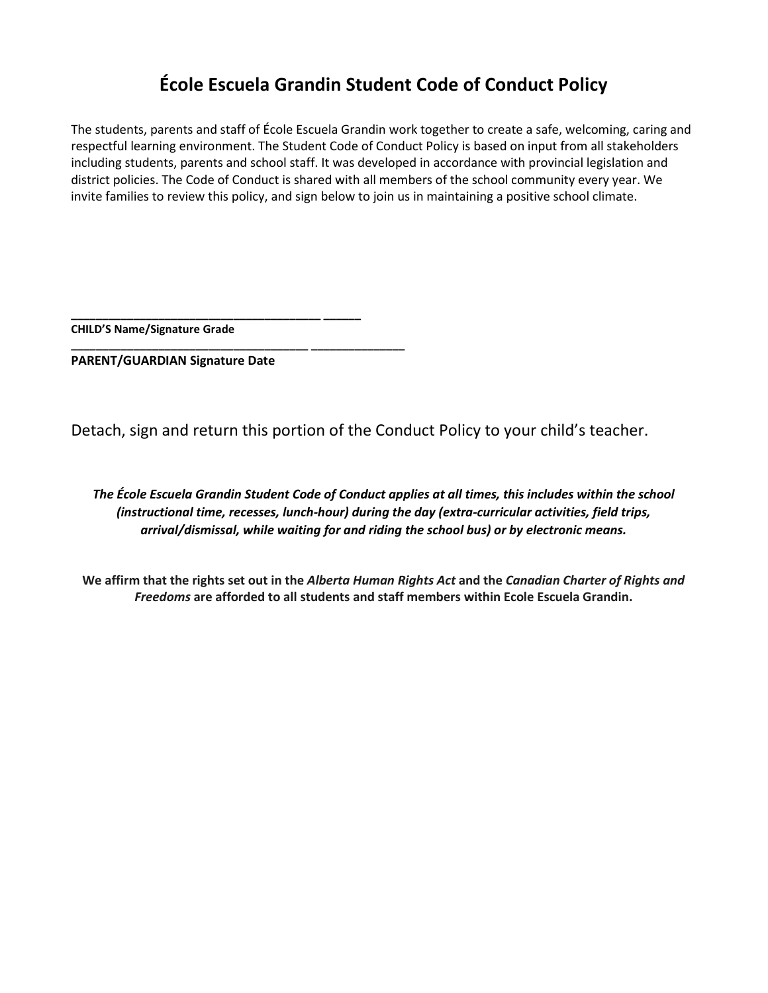# **École Escuela Grandin Student Code of Conduct Policy**

The students, parents and staff of École Escuela Grandin work together to create a safe, welcoming, caring and respectful learning environment. The Student Code of Conduct Policy is based on input from all stakeholders including students, parents and school staff. It was developed in accordance with provincial legislation and district policies. The Code of Conduct is shared with all members of the school community every year. We invite families to review this policy, and sign below to join us in maintaining a positive school climate.

**CHILD'S Name/Signature Grade** 

**PARENT/GUARDIAN Signature Date**

**\_\_\_\_\_\_\_\_\_\_\_\_\_\_\_\_\_\_\_\_\_\_\_\_\_\_\_\_\_\_\_\_\_\_\_\_\_\_\_\_ \_\_\_\_\_\_** 

**\_\_\_\_\_\_\_\_\_\_\_\_\_\_\_\_\_\_\_\_\_\_\_\_\_\_\_\_\_\_\_\_\_\_\_\_\_\_ \_\_\_\_\_\_\_\_\_\_\_\_\_\_\_** 

Detach, sign and return this portion of the Conduct Policy to your child's teacher.

*The École Escuela Grandin Student Code of Conduct applies at all times, this includes within the school (instructional time, recesses, lunch-hour) during the day (extra-curricular activities, field trips, arrival/dismissal, while waiting for and riding the school bus) or by electronic means.*

**We affirm that the rights set out in the** *Alberta Human Rights Act* **and the** *Canadian Charter of Rights and Freedoms* **are afforded to all students and staff members within Ecole Escuela Grandin.**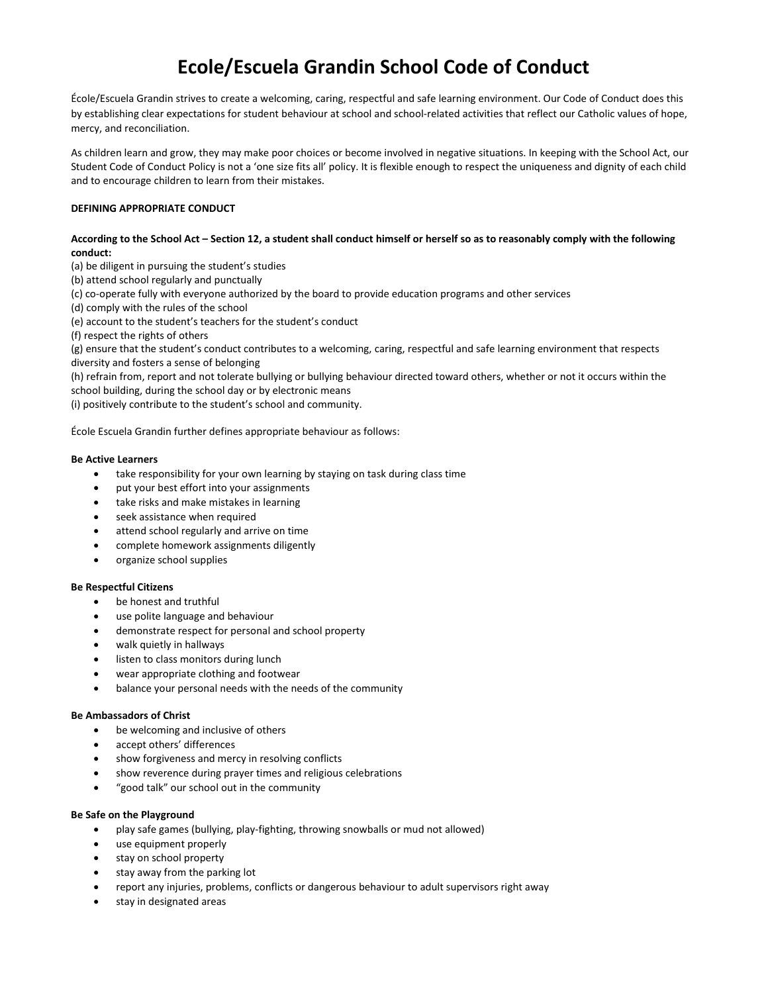# **Ecole/Escuela Grandin School Code of Conduct**

École/Escuela Grandin strives to create a welcoming, caring, respectful and safe learning environment. Our Code of Conduct does this by establishing clear expectations for student behaviour at school and school-related activities that reflect our Catholic values of hope, mercy, and reconciliation.

As children learn and grow, they may make poor choices or become involved in negative situations. In keeping with the School Act, our Student Code of Conduct Policy is not a 'one size fits all' policy. It is flexible enough to respect the uniqueness and dignity of each child and to encourage children to learn from their mistakes.

## **DEFINING APPROPRIATE CONDUCT**

### **According to the School Act – Section 12, a student shall conduct himself or herself so as to reasonably comply with the following conduct:**

(a) be diligent in pursuing the student's studies

(b) attend school regularly and punctually

(c) co-operate fully with everyone authorized by the board to provide education programs and other services

(d) comply with the rules of the school

(e) account to the student's teachers for the student's conduct

(f) respect the rights of others

(g) ensure that the student's conduct contributes to a welcoming, caring, respectful and safe learning environment that respects diversity and fosters a sense of belonging

(h) refrain from, report and not tolerate bullying or bullying behaviour directed toward others, whether or not it occurs within the school building, during the school day or by electronic means

(i) positively contribute to the student's school and community.

École Escuela Grandin further defines appropriate behaviour as follows:

### **Be Active Learners**

- take responsibility for your own learning by staying on task during class time
- put your best effort into your assignments
- take risks and make mistakes in learning
- seek assistance when required
- attend school regularly and arrive on time
- complete homework assignments diligently
- organize school supplies

## **Be Respectful Citizens**

- be honest and truthful
- use polite language and behaviour
- demonstrate respect for personal and school property
- walk quietly in hallways
- listen to class monitors during lunch
- wear appropriate clothing and footwear
- balance your personal needs with the needs of the community

#### **Be Ambassadors of Christ**

- be welcoming and inclusive of others
- accept others' differences
- show forgiveness and mercy in resolving conflicts
- show reverence during prayer times and religious celebrations
- "good talk" our school out in the community

#### **Be Safe on the Playground**

- play safe games (bullying, play-fighting, throwing snowballs or mud not allowed)
- use equipment properly
- stay on school property
- stay away from the parking lot
- report any injuries, problems, conflicts or dangerous behaviour to adult supervisors right away
- stay in designated areas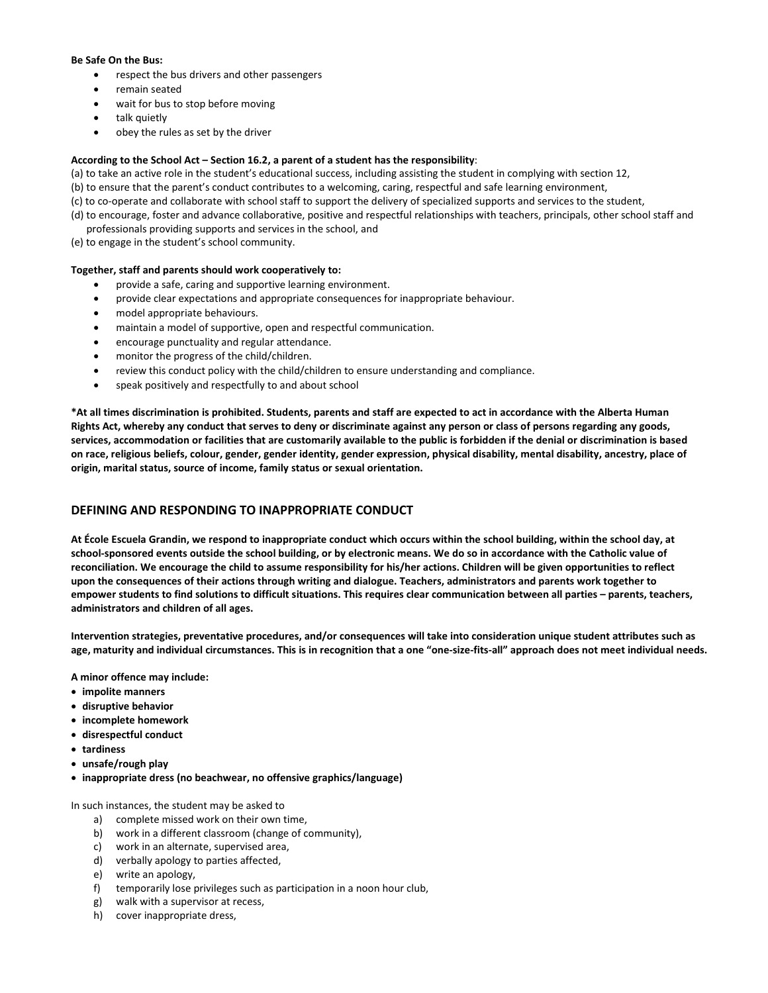#### **Be Safe On the Bus:**

- respect the bus drivers and other passengers
- remain seated
- wait for bus to stop before moving
- talk quietly
- obey the rules as set by the driver

### **According to the School Act – Section 16.2, a parent of a student has the responsibility**:

(a) to take an active role in the student's educational success, including assisting the student in complying with section 12,

- (b) to ensure that the parent's conduct contributes to a welcoming, caring, respectful and safe learning environment,
- (c) to co-operate and collaborate with school staff to support the delivery of specialized supports and services to the student,
- (d) to encourage, foster and advance collaborative, positive and respectful relationships with teachers, principals, other school staff and professionals providing supports and services in the school, and
- (e) to engage in the student's school community.

#### **Together, staff and parents should work cooperatively to:**

- provide a safe, caring and supportive learning environment.
- provide clear expectations and appropriate consequences for inappropriate behaviour.
- model appropriate behaviours.
- maintain a model of supportive, open and respectful communication.
- encourage punctuality and regular attendance.
- monitor the progress of the child/children.
- review this conduct policy with the child/children to ensure understanding and compliance.
- speak positively and respectfully to and about school

**\*At all times discrimination is prohibited. Students, parents and staff are expected to act in accordance with the Alberta Human Rights Act, whereby any conduct that serves to deny or discriminate against any person or class of persons regarding any goods, services, accommodation or facilities that are customarily available to the public is forbidden if the denial or discrimination is based on race, religious beliefs, colour, gender, gender identity, gender expression, physical disability, mental disability, ancestry, place of origin, marital status, source of income, family status or sexual orientation.**

# **DEFINING AND RESPONDING TO INAPPROPRIATE CONDUCT**

**At École Escuela Grandin, we respond to inappropriate conduct which occurs within the school building, within the school day, at school-sponsored events outside the school building, or by electronic means. We do so in accordance with the Catholic value of reconciliation. We encourage the child to assume responsibility for his/her actions. Children will be given opportunities to reflect upon the consequences of their actions through writing and dialogue. Teachers, administrators and parents work together to empower students to find solutions to difficult situations. This requires clear communication between all parties – parents, teachers, administrators and children of all ages.**

**Intervention strategies, preventative procedures, and/or consequences will take into consideration unique student attributes such as age, maturity and individual circumstances. This is in recognition that a one "one-size-fits-all" approach does not meet individual needs.**

**A minor offence may include:** 

- **impolite manners**
- **disruptive behavior**
- **incomplete homework**
- **disrespectful conduct**
- **tardiness**
- **unsafe/rough play**
- **inappropriate dress (no beachwear, no offensive graphics/language)**

In such instances, the student may be asked to

- a) complete missed work on their own time,
- b) work in a different classroom (change of community),
- c) work in an alternate, supervised area,
- d) verbally apology to parties affected,
- e) write an apology,
- f) temporarily lose privileges such as participation in a noon hour club,
- g) walk with a supervisor at recess,
- h) cover inappropriate dress,